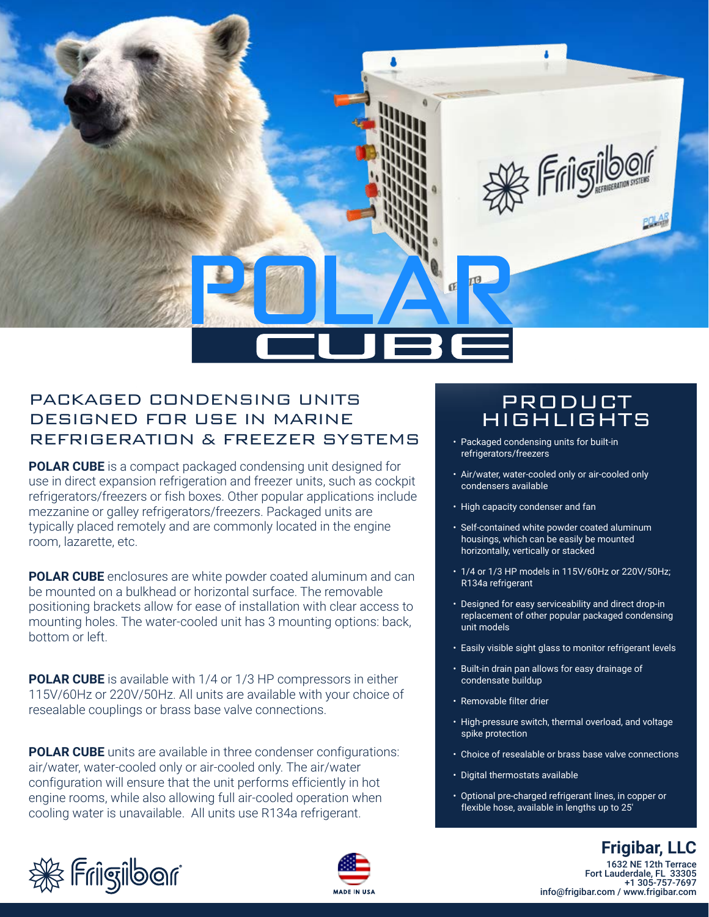

## PACKAGED CONDENSING UNITS DESIGNED FOR USE IN MARINE REFRIGERATION & FREEZER SYSTEMS

**POLAR CUBE** is a compact packaged condensing unit designed for use in direct expansion refrigeration and freezer units, such as cockpit refrigerators/freezers or fish boxes. Other popular applications include mezzanine or galley refrigerators/freezers. Packaged units are typically placed remotely and are commonly located in the engine room, lazarette, etc.

**POLAR CUBE** enclosures are white powder coated aluminum and can be mounted on a bulkhead or horizontal surface. The removable positioning brackets allow for ease of installation with clear access to mounting holes. The water-cooled unit has 3 mounting options: back, bottom or left.

**POLAR CUBE** is available with 1/4 or 1/3 HP compressors in either 115V/60Hz or 220V/50Hz. All units are available with your choice of resealable couplings or brass base valve connections.

**POLAR CUBE** units are available in three condenser configurations: air/water, water-cooled only or air-cooled only. The air/water configuration will ensure that the unit performs efficiently in hot engine rooms, while also allowing full air-cooled operation when cooling water is unavailable. All units use R134a refrigerant.

## PRODUCT HIGHLIGHTS

- Packaged condensing units for built-in refrigerators/freezers
- Air/water, water-cooled only or air-cooled only condensers available
- High capacity condenser and fan
- Self-contained white powder coated aluminum housings, which can be easily be mounted horizontally, vertically or stacked
- 1/4 or 1/3 HP models in 115V/60Hz or 220V/50Hz; R134a refrigerant
- Designed for easy serviceability and direct drop-in replacement of other popular packaged condensing unit models
- Easily visible sight glass to monitor refrigerant levels
- Built-in drain pan allows for easy drainage of condensate buildup
- Removable filter drier
- High-pressure switch, thermal overload, and voltage spike protection
- Choice of resealable or brass base valve connections
- Digital thermostats available
- Optional pre-charged refrigerant lines, in copper or flexible hose, available in lengths up to 25'





1632 NE 12th Terrace Fort Lauderdale, FL 33305 **Frigibar, LLC**

info@frigibar.com / www.frigibar.com

+1 305-757-7697